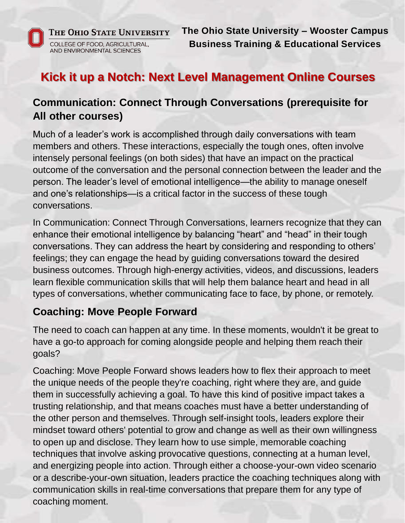

**The Ohio State University – Wooster Campus Business Training & Educational Services**

# **Kick it up a Notch: Next Level Management Online Courses**

### **Communication: Connect Through Conversations (prerequisite for All other courses)**

Much of a leader's work is accomplished through daily conversations with team members and others. These interactions, especially the tough ones, often involve intensely personal feelings (on both sides) that have an impact on the practical outcome of the conversation and the personal connection between the leader and the person. The leader's level of emotional intelligence—the ability to manage oneself and one's relationships—is a critical factor in the success of these tough conversations.

In Communication: Connect Through Conversations, learners recognize that they can enhance their emotional intelligence by balancing "heart" and "head" in their tough conversations. They can address the heart by considering and responding to others' feelings; they can engage the head by guiding conversations toward the desired business outcomes. Through high-energy activities, videos, and discussions, leaders learn flexible communication skills that will help them balance heart and head in all types of conversations, whether communicating face to face, by phone, or remotely.

#### **Coaching: Move People Forward**

The need to coach can happen at any time. In these moments, wouldn't it be great to have a go-to approach for coming alongside people and helping them reach their goals?

Coaching: Move People Forward shows leaders how to flex their approach to meet the unique needs of the people they're coaching, right where they are, and guide them in successfully achieving a goal. To have this kind of positive impact takes a trusting relationship, and that means coaches must have a better understanding of the other person and themselves. Through self-insight tools, leaders explore their mindset toward others' potential to grow and change as well as their own willingness to open up and disclose. They learn how to use simple, memorable coaching techniques that involve asking provocative questions, connecting at a human level, and energizing people into action. Through either a choose-your-own video scenario or a describe-your-own situation, leaders practice the coaching techniques along with communication skills in real-time conversations that prepare them for any type of coaching moment.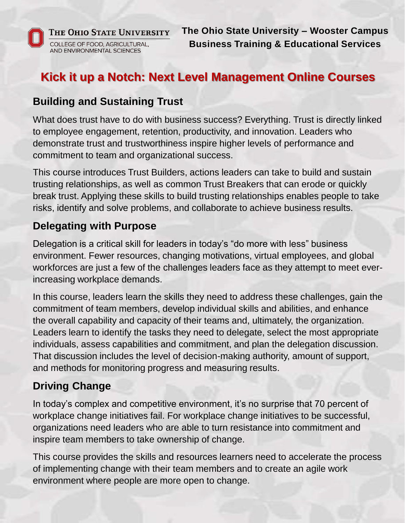

**The Ohio State University – Wooster Campus Business Training & Educational Services**

# **Kick it up a Notch: Next Level Management Online Courses**

#### **Building and Sustaining Trust**

What does trust have to do with business success? Everything. Trust is directly linked to employee engagement, retention, productivity, and innovation. Leaders who demonstrate trust and trustworthiness inspire higher levels of performance and commitment to team and organizational success.

This course introduces Trust Builders, actions leaders can take to build and sustain trusting relationships, as well as common Trust Breakers that can erode or quickly break trust. Applying these skills to build trusting relationships enables people to take risks, identify and solve problems, and collaborate to achieve business results.

#### **Delegating with Purpose**

Delegation is a critical skill for leaders in today's "do more with less" business environment. Fewer resources, changing motivations, virtual employees, and global workforces are just a few of the challenges leaders face as they attempt to meet everincreasing workplace demands.

In this course, leaders learn the skills they need to address these challenges, gain the commitment of team members, develop individual skills and abilities, and enhance the overall capability and capacity of their teams and, ultimately, the organization. Leaders learn to identify the tasks they need to delegate, select the most appropriate individuals, assess capabilities and commitment, and plan the delegation discussion. That discussion includes the level of decision-making authority, amount of support, and methods for monitoring progress and measuring results.

### **Driving Change**

In today's complex and competitive environment, it's no surprise that 70 percent of workplace change initiatives fail. For workplace change initiatives to be successful, organizations need leaders who are able to turn resistance into commitment and inspire team members to take ownership of change.

This course provides the skills and resources learners need to accelerate the process of implementing change with their team members and to create an agile work environment where people are more open to change.